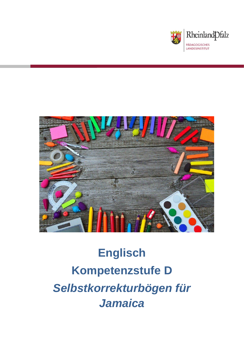



# **Englisch Kompetenzstufe D** *Selbstkorrekturbögen für Jamaica*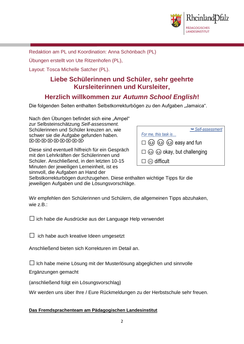

Redaktion am PL und Koordination: Anna Schönbach (PL)

Übungen erstellt von Ute Ritzenhofen (PL),

Layout: Tosca Michelle Satcher (PL).

### **Liebe Schülerinnen und Schüler, sehr geehrte Kursleiterinnen und Kursleiter,**

## **Herzlich willkommen zur** *Autumn School English***!**

Die folgenden Seiten enthalten Selbstkorrekturbögen zu den Aufgaben "Jamaica".

Nach den Übungen befindet sich eine "Ampel" zur Selbsteinschätzung *Self-assessment.* Schülerinnen und Schüler kreuzen an, wie schwer sie die Aufgabe gefunden haben. **EXEMPERIE** 

Diese sind eventuell hilfreich für ein Gespräch mit den Lehrkräften der Schülerinnen und Schüler. Anschließend, in den letzten 10-15 Minuten der jeweiligen Lerneinheit, ist es sinnvoll, die Aufgaben an Hand der

| Self-assessment                                        |
|--------------------------------------------------------|
| For me, this task is                                   |
| $\square$ $\odot$ $\odot$ $\odot$ $\odot$ easy and fun |
| $\square$ $\odot$ $\odot$ okay, but challenging        |
| $\square \otimes$ difficult                            |

Selbstkorrekturbögen durchzugehen. Diese enthalten wichtige Tipps für die jeweiligen Aufgaben und die Lösungsvorschläge.

Wir empfehlen den Schülerinnen und Schülern, die allgemeinen Tipps abzuhaken, wie z.B.:

 $\square$  ich habe die Ausdrücke aus der Language Help verwendet

 $\Box$  ich habe auch kreative Ideen umgesetzt

Anschließend bieten sich Korrekturen im Detail an.

 $\Box$  Ich habe meine Lösung mit der Musterlösung abgeglichen und sinnvolle

Ergänzungen gemacht

(anschließend folgt ein Lösungsvorschlag)

Wir werden uns über Ihre / Eure Rückmeldungen zu der Herbstschule sehr freuen.

#### **Das Fremdsprachenteam am Pädagogischen Landesinstitut**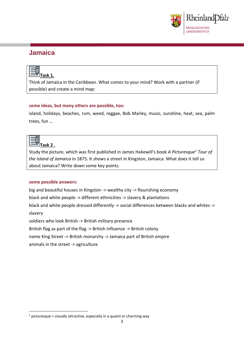

## **Jamaica**

| и |  |
|---|--|

Think of Jamaica in the Caribbean. What comes to your mind? Work with a partner (if possible) and create a mind map:

#### **some ideas, but many others are possible, too:**

island, holidays, beaches, rum, weed, reggae, Bob Marley, music, sunshine, heat, sea, palm trees, fun …



**.** 

Study the picture, which was first published in James Hakewill's book *A Picturesque<sup>1</sup> Tour of the Island of Jamaica* in 1875. It shows a street in Kingston, Jamaica. What does it tell us about Jamaica? Write down some key points.

#### **some possible answers:**

big and beautiful houses in Kingston -> wealthy city -> flourishing economy black and white people -> different ethnicities -> slavery & plantations black and white people dressed differently -> social differences between blacks and whites -> slavery soldiers who look British -> British military presence British flag as part of the flag -> British influence -> British colony name King Street -> British monarchy -> Jamaica part of British empire animals in the street -> agriculture

 $1$  picturesque = visually attractive, especially in a quaint or charming way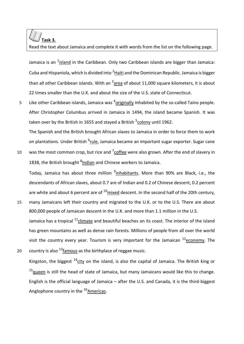# **Task 3.**

Read the text about Jamaica and complete it with words from the list on the following page.

Jamaica is an <sup>1</sup>island in the Caribbean. Only two Caribbean islands are bigger than Jamaica: Cuba and Hispaniola, which is divided into <sup>2</sup>Haiti and the Dominican Republic. Jamaica is bigger than all other Caribbean islands. With an <sup>3</sup>area of about 11,000 square kilometers, it is about 22 times smaller than the U.K. and about the size of the U.S. state of Connecticut.

5 Like other Caribbean islands, Jamaica was <sup>4</sup>originally inhabited by the so-called Taíno people. After Christopher Columbus arrived in Jamaica in 1494, the island became Spanish. It was taken over by the British in 1655 and stayed a British <sup>5</sup>colony until 1962.

The Spanish and the British brought African slaves to Jamaica in order to force them to work on plantations. Under British <sup>6</sup>rule, Jamaica became an important sugar exporter. Sugar cane

10 was the most common crop, but rice and  $7$  coffee were also grown. After the end of slavery in 1838, the British brought <sup>8</sup>Indian and Chinese workers to Jamaica.

Today, Jamaica has about three million <sup>9</sup>inhabitants. More than 90% are Black, i.e., the descendants of African slaves, about 0.7 are of Indian and 0.2 of Chinese descent, 0.2 percent are white and about 6 percent are of  $^{10}$ mixed descent. In the second half of the 20th century,

- 15 many Jamaicans left their country and migrated to the U.K. or to the U.S. There are about 800,000 people of Jamaican descent in the U.K. and more than 1.1 million in the U.S. Jamaica has a tropical <sup>11</sup>climate and beautiful beaches on its coast. The interior of the island has green mountains as well as dense rain forests. Millions of people from all over the world visit the country every year. Tourism is very important for the Jamaican  $^{12}$ economy. The
- 20 country is also  $13$  famous as the birthplace of reggae music.

Kingston, the biggest  $14$ city on the island, is also the capital of Jamaica. The British king or  $15$ queen is still the head of state of Jamaica, but many Jamaicans would like this to change. English is the official language of Jamaica – after the U.S. and Canada, it is the third-biggest Anglophone country in the  $16A$ mericas.